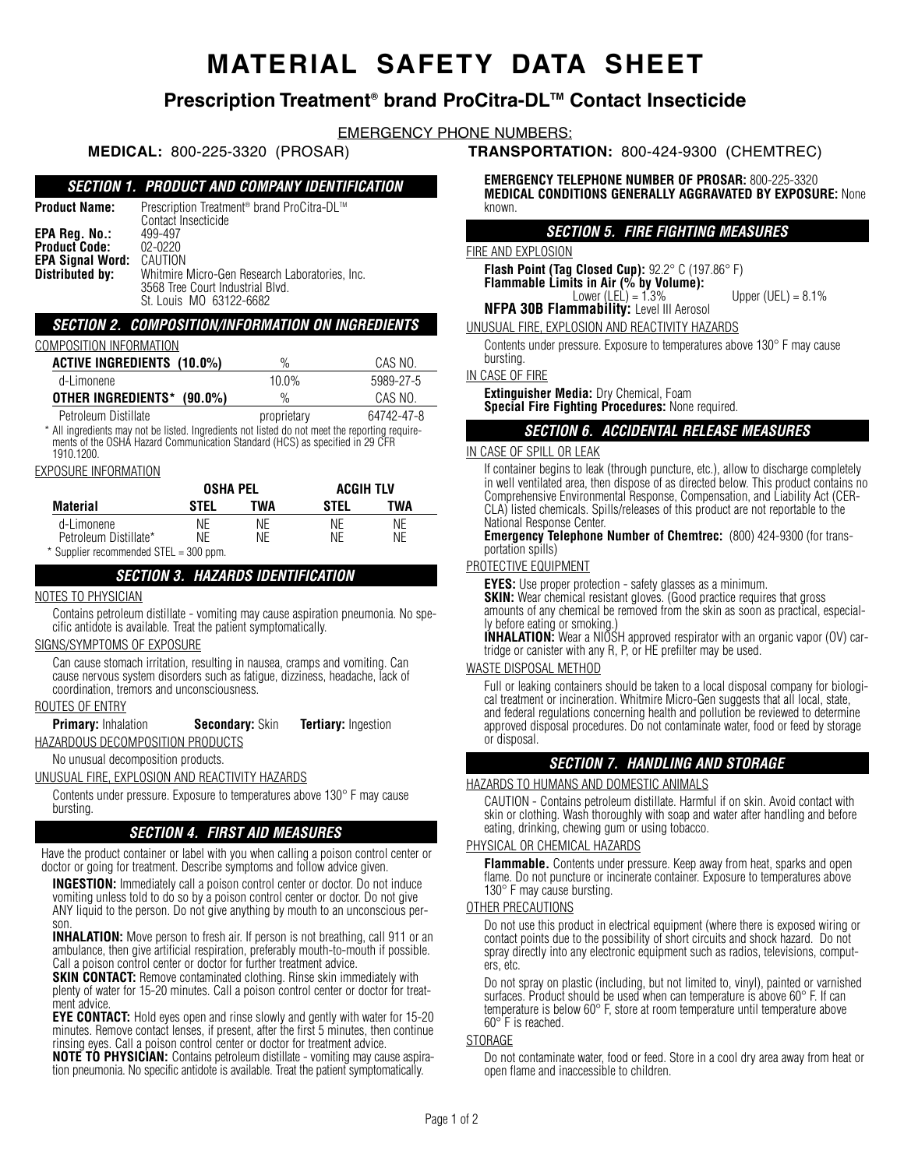# **MATERIAL SAFETY DATA SHEET**

# **Prescription Treatment® brand ProCitra-DLTM Contact Insecticide**

EMERGENCY PHONE NUMBERS:

# **SECTION 1. PRODUCT AND COMPANY IDENTIFICATION**

| <b>Product Name:</b>                  | Prescription Treatment <sup>®</sup> brand ProCitra-DL™<br>Contact Insecticide                                 |
|---------------------------------------|---------------------------------------------------------------------------------------------------------------|
| EPA Reg. No.:<br><b>Product Code:</b> | 499-497<br>$02 - 0220$                                                                                        |
| <b>EPA Signal Word:</b>               | CAUTION                                                                                                       |
| Distributed by:                       | Whitmire Micro-Gen Research Laboratories, Inc.<br>3568 Tree Court Industrial Blvd.<br>St. Louis MO 63122-6682 |

### **SECTION 2. COMPOSITION/INFORMATION ON INGREDIENTS**

### COMPOSITION INFORMATION

| <b>ACTIVE INGREDIENTS (10.0%)</b>                                                                                                                                                            | $\%$        | CAS NO.    |  |  |  |  |  |
|----------------------------------------------------------------------------------------------------------------------------------------------------------------------------------------------|-------------|------------|--|--|--|--|--|
| d-Limonene                                                                                                                                                                                   | 10.0%       | 5989-27-5  |  |  |  |  |  |
| OTHER INGREDIENTS*<br>$(90.0\%)$                                                                                                                                                             | $\%$        | CAS NO.    |  |  |  |  |  |
| Petroleum Distillate                                                                                                                                                                         | proprietary | 64742-47-8 |  |  |  |  |  |
| * All ingredients may not be listed. Ingredients not listed do not meet the reporting require-<br>ments of the OSHA Hazard Communication Standard (HCS) as specified in 29 CFR<br>1910.1200. |             |            |  |  |  |  |  |
| $\cdots$                                                                                                                                                                                     |             |            |  |  |  |  |  |

### EXPOSURE INFORMATION

|                                        | <b>OSHA PEL</b> |     | <b>ACGIH TLV</b> |     |
|----------------------------------------|-----------------|-----|------------------|-----|
| Material                               | STEL            | TWA | STEL             | TWA |
| d-Limonene                             | ΝF              | ΝF  | NF               | ΝF  |
| Petroleum Distillate*                  | ΝF              | ΝF  | ΝF               | ΝF  |
| * Supplier recommended STEL = 300 ppm. |                 |     |                  |     |

# **SECTION 3. HAZARDS IDENTIFICATION**

### NOTES TO PHYSICIAN

Contains petroleum distillate - vomiting may cause aspiration pneumonia. No specific antidote is available. Treat the patient symptomatically.

### SIGNS/SYMPTOMS OF EXPOSURE

Can cause stomach irritation, resulting in nausea, cramps and vomiting. Can cause nervous system disorders such as fatigue, dizziness, headache, lack of coordination, tremors and unconsciousness.

### ROUTES OF ENTRY

**Primary:** Inhalation **Secondary:** Skin **Tertiary:** Ingestion

HAZARDOUS DECOMPOSITION PRODUCTS

# No unusual decomposition products.

UNUSUAL FIRE, EXPLOSION AND REACTIVITY HAZARDS

Contents under pressure. Exposure to temperatures above 130° F may cause bursting.

# **SECTION 4. FIRST AID MEASURES**

Have the product container or label with you when calling a poison control center or doctor or going for treatment. Describe symptoms and follow advice given.

**INGESTION:** Immediately call a poison control center or doctor. Do not induce vomiting unless told to do so by a poison control center or doctor. Do not give ANY liquid to the person. Do not give anything by mouth to an unconscious person.

**INHALATION:** Move person to fresh air. If person is not breathing, call 911 or an ambulance, then give artificial respiration, preferably mouth-to-mouth if possible. Call a poison control center or doctor for further treatment advice.

**SKIN CONTACT:** Remove contaminated clothing. Rinse skin immediately with plenty of water for 15-20 minutes. Call a poison control center or doctor for treatment advice.

**EYE CONTACT:** Hold eyes open and rinse slowly and gently with water for 15-20 minutes. Remove contact lenses, if present, after the first 5 minutes, then continue rinsing eyes. Call a poison control center or doctor for treatment advice.

**NOTE TO PHYSICIAN:** Contains petroleum distillate - vomiting may cause aspiration pneumonia. No specific antidote is available. Treat the patient symptomatically.

**MEDICAL:** 800-225-3320 (PROSAR) **TRANSPORTATION:** 800-424-9300 (CHEMTREC)

**EMERGENCY TELEPHONE NUMBER OF PROSAR:** 800-225-3320 **MEDICAL CONDITIONS GENERALLY AGGRAVATED BY EXPOSURE:** None known.

### **SECTION 5. FIRE FIGHTING MEASURES**

### FIRE AND EXPLOSION

**Flash Point (Tag Closed Cup):** 92.2° C (197.86° F) **Flammable Limits in Air (% by Volume):**<br>Lower (LEL) = 1.3%

Upper (UEL) =  $8.1\%$ 

**NFPA 30B Flammability:** Level III Aerosol UNUSUAL FIRE, EXPLOSION AND REACTIVITY HAZARDS

Contents under pressure. Exposure to temperatures above 130° F may cause bursting.

### IN CASE OF FIRE

**Extinguisher Media:** Dry Chemical, Foam **Special Fire Fighting Procedures:** None required.

### **SECTION 6. ACCIDENTAL RELEASE MEASURES**

### IN CASE OF SPILL OR LEAK

If container begins to leak (through puncture, etc.), allow to discharge completely in well ventilated area, then dispose of as directed below. This product contains no Comprehensive Environmental Response, Compensation, and Liability Act (CER-CLA) listed chemicals. Spills/releases of this product are not reportable to the National Response Center.

**Emergency Telephone Number of Chemtrec:** (800) 424-9300 (for transportation spills)

### PROTECTIVE EQUIPMENT

**EYES:** Use proper protection - safety glasses as a minimum. **SKIN:** Wear chemical resistant gloves. (Good practice requires that gross amounts of any chemical be removed from the skin as soon as practical, especially before eating or smoking.)

**INHALATION:** Wear a NIOSH approved respirator with an organic vapor (OV) cartridge or canister with any R, P, or HE prefilter may be used.

### WASTE DISPOSAL METHOD

Full or leaking containers should be taken to a local disposal company for biological treatment or incineration. Whitmire Micro-Gen suggests that all local, state, and federal regulations concerning health and pollution be reviewed to determine approved disposal procedures. Do not contaminate water, food or feed by storage or disposal.

# **SECTION 7. HANDLING AND STORAGE**

### HAZARDS TO HUMANS AND DOMESTIC ANIMALS

CAUTION - Contains petroleum distillate. Harmful if on skin. Avoid contact with skin or clothing. Wash thoroughly with soap and water after handling and before eating, drinking, chewing gum or using tobacco.

### PHYSICAL OR CHEMICAL HAZARDS

**Flammable.** Contents under pressure. Keep away from heat, sparks and open flame. Do not puncture or incinerate container. Exposure to temperatures above 130° F may cause bursting.

### OTHER PRECAUTIONS

Do not use this product in electrical equipment (where there is exposed wiring or contact points due to the possibility of short circuits and shock hazard. Do not spray directly into any electronic equipment such as radios, televisions, computers, etc.

Do not spray on plastic (including, but not limited to, vinyl), painted or varnished surfaces. Product should be used when can temperature is above 60° F. If can temperature is below 60° F, store at room temperature until temperature above 60° F is reached.

### **STORAGE**

Do not contaminate water, food or feed. Store in a cool dry area away from heat or open flame and inaccessible to children.